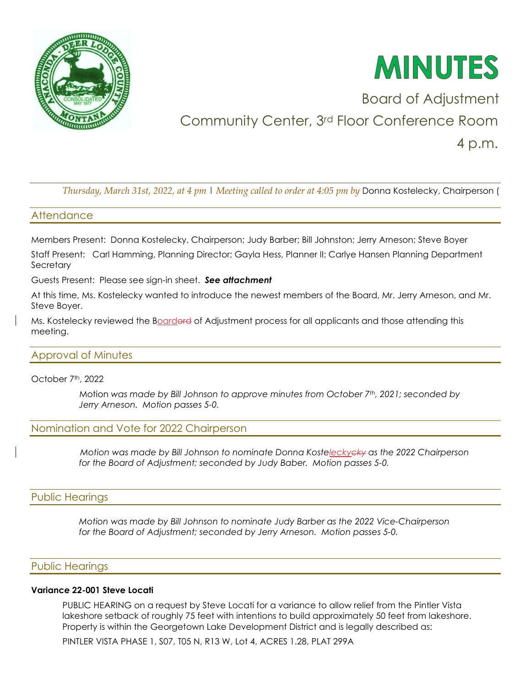



# Board of Adjustment Community Center, 3rd Floor Conference Room 4 p.m.

*Thursday, March 31st, 2022, at 4 pm* | *Meeting called to order at 4:05 pm by* Donna Kostelecky, Chairperson (

## **Attendance**

Members Present: Donna Kostelecky, Chairperson; Judy Barber; Bill Johnston; Jerry Arneson; Steve Boyer

Staff Present: Carl Hamming, Planning Director; Gayla Hess, Planner II; Carlye Hansen Planning Department **Secretary** 

Guests Present: Please see sign-in sheet. *See attachment* 

At this time, Ms. Kostelecky wanted to introduce the newest members of the Board, Mr. Jerry Arneson, and Mr. Steve Boyer.

Ms. Kostelecky reviewed the Boarderd of Adjustment process for all applicants and those attending this meeting.

# Approval of Minutes

October 7<sup>th</sup>, 2022

Motion *was made by Bill Johnson to approve minutes from October 7th, 2021; seconded by Jerry Arneson. Motion passes 5-0.* 

# Nomination and Vote for 2022 Chairperson

 *Motion was made by Bill Johnson to nominate Donna Kosteleckycky as the 2022 Chairperson for the Board of Adjustment; seconded by Judy Baber. Motion passes 5-0.*

# Public Hearings

 *Motion was made by Bill Johnson to nominate Judy Barber as the 2022 Vice-Chairperson for the Board of Adjustment; seconded by Jerry Arneson. Motion passes 5-0.*

#### Public Hearings

#### **Variance 22-001 Steve Locati**

PUBLIC HEARING on a request by Steve Locati for a variance to allow relief from the Pintler Vista lakeshore setback of roughly 75 feet with intentions to build approximately 50 feet from lakeshore. Property is within the Georgetown Lake Development District and is legally described as:

PINTLER VISTA PHASE 1, S07, T05 N, R13 W, Lot 4, ACRES 1.28, PLAT 299A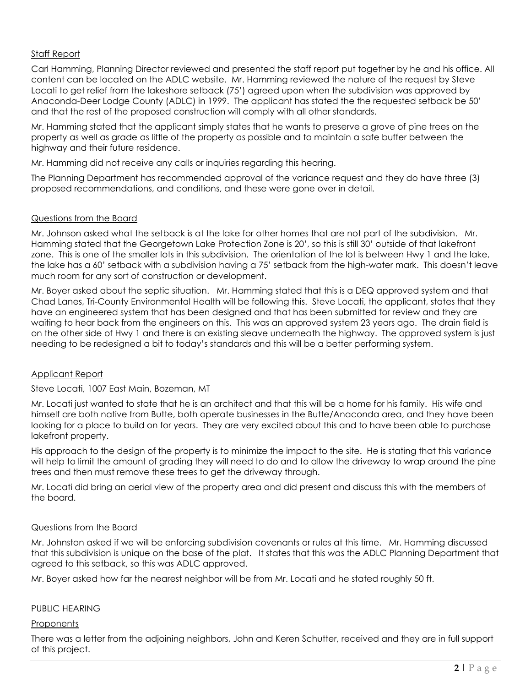# Staff Report

Carl Hamming, Planning Director reviewed and presented the staff report put together by he and his office. All content can be located on the ADLC website. Mr. Hamming reviewed the nature of the request by Steve Locati to get relief from the lakeshore setback (75') agreed upon when the subdivision was approved by Anaconda-Deer Lodge County (ADLC) in 1999. The applicant has stated the the requested setback be 50' and that the rest of the proposed construction will comply with all other standards.

Mr. Hamming stated that the applicant simply states that he wants to preserve a grove of pine trees on the property as well as grade as little of the property as possible and to maintain a safe buffer between the highway and their future residence.

Mr. Hamming did not receive any calls or inquiries regarding this hearing.

The Planning Department has recommended approval of the variance request and they do have three (3) proposed recommendations, and conditions, and these were gone over in detail.

#### Questions from the Board

Mr. Johnson asked what the setback is at the lake for other homes that are not part of the subdivision. Mr. Hamming stated that the Georgetown Lake Protection Zone is 20', so this is still 30' outside of that lakefront zone. This is one of the smaller lots in this subdivision. The orientation of the lot is between Hwy 1 and the lake, the lake has a 60' setback with a subdivision having a 75' setback from the high-water mark. This doesn't leave much room for any sort of construction or development.

Mr. Boyer asked about the septic situation. Mr. Hamming stated that this is a DEQ approved system and that Chad Lanes, Tri-County Environmental Health will be following this. Steve Locati, the applicant, states that they have an engineered system that has been designed and that has been submitted for review and they are waiting to hear back from the engineers on this. This was an approved system 23 years ago. The drain field is on the other side of Hwy 1 and there is an existing sleave underneath the highway. The approved system is just needing to be redesigned a bit to today's standards and this will be a better performing system.

#### Applicant Report

Steve Locati, 1007 East Main, Bozeman, MT

Mr. Locati just wanted to state that he is an architect and that this will be a home for his family. His wife and himself are both native from Butte, both operate businesses in the Butte/Anaconda area, and they have been looking for a place to build on for years. They are very excited about this and to have been able to purchase lakefront property.

His approach to the design of the property is to minimize the impact to the site. He is stating that this variance will help to limit the amount of grading they will need to do and to allow the driveway to wrap around the pine trees and then must remove these trees to get the driveway through.

Mr. Locati did bring an aerial view of the property area and did present and discuss this with the members of the board.

#### Questions from the Board

Mr. Johnston asked if we will be enforcing subdivision covenants or rules at this time. Mr. Hamming discussed that this subdivision is unique on the base of the plat. It states that this was the ADLC Planning Department that agreed to this setback, so this was ADLC approved.

Mr. Boyer asked how far the nearest neighbor will be from Mr. Locati and he stated roughly 50 ft.

#### PUBLIC HEARING

#### **Proponents**

There was a letter from the adjoining neighbors, John and Keren Schutter, received and they are in full support of this project.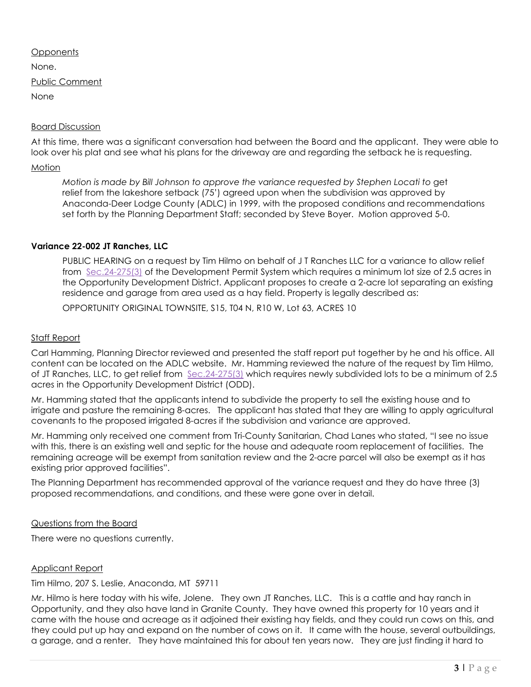#### **Opponents**

None.

Public Comment

None

### Board Discussion

At this time, there was a significant conversation had between the Board and the applicant. They were able to look over his plat and see what his plans for the driveway are and regarding the setback he is requesting.

#### **Motion**

*Motion is made by Bill Johnson to approve the variance requested by Stephen Locati to get*  relief from the lakeshore setback (75') agreed upon when the subdivision was approved by Anaconda-Deer Lodge County (ADLC) in 1999, with the proposed conditions and recommendations set forth by the Planning Department Staff; seconded by Steve Boyer. Motion approved 5-0.

# **Variance 22-002 JT Ranches, LLC**

PUBLIC HEARING on a request by Tim Hilmo on behalf of J T Ranches LLC for a variance to allow relief from [Sec.24-275\(3\)](https://library.municode.com/mt/anaconda-deer_lodge_county/codes/code_of_ordinances?nodeId=PTIICOOR_CH24DEPESY_ARTXXIVOPDEDIOD_S24-275DEST) of the Development Permit System which requires a minimum lot size of 2.5 acres in the Opportunity Development District. Applicant proposes to create a 2-acre lot separating an existing residence and garage from area used as a hay field. Property is legally described as:

OPPORTUNITY ORIGINAL TOWNSITE, S15, T04 N, R10 W, Lot 63, ACRES 10

#### Staff Report

Carl Hamming, Planning Director reviewed and presented the staff report put together by he and his office. All content can be located on the ADLC website. Mr. Hamming reviewed the nature of the request by Tim Hilmo, of JT Ranches, LLC, to get relief from [Sec.24-275\(3\)](https://library.municode.com/mt/anaconda-deer_lodge_county/codes/code_of_ordinances?nodeId=PTIICOOR_CH24DEPESY_ARTXXIVOPDEDIOD_S24-275DEST) which requires newly subdivided lots to be a minimum of 2.5 acres in the Opportunity Development District (ODD).

Mr. Hamming stated that the applicants intend to subdivide the property to sell the existing house and to irrigate and pasture the remaining 8-acres. The applicant has stated that they are willing to apply agricultural covenants to the proposed irrigated 8-acres if the subdivision and variance are approved.

Mr. Hamming only received one comment from Tri-County Sanitarian, Chad Lanes who stated, "I see no issue with this, there is an existing well and septic for the house and adequate room replacement of facilities. The remaining acreage will be exempt from sanitation review and the 2-acre parcel will also be exempt as it has existing prior approved facilities".

The Planning Department has recommended approval of the variance request and they do have three (3) proposed recommendations, and conditions, and these were gone over in detail.

#### Questions from the Board

There were no questions currently.

#### Applicant Report

Tim Hilmo, 207 S. Leslie, Anaconda, MT 59711

Mr. Hilmo is here today with his wife, Jolene. They own JT Ranches, LLC. This is a cattle and hay ranch in Opportunity, and they also have land in Granite County. They have owned this property for 10 years and it came with the house and acreage as it adjoined their existing hay fields, and they could run cows on this, and they could put up hay and expand on the number of cows on it. It came with the house, several outbuildings, a garage, and a renter. They have maintained this for about ten years now. They are just finding it hard to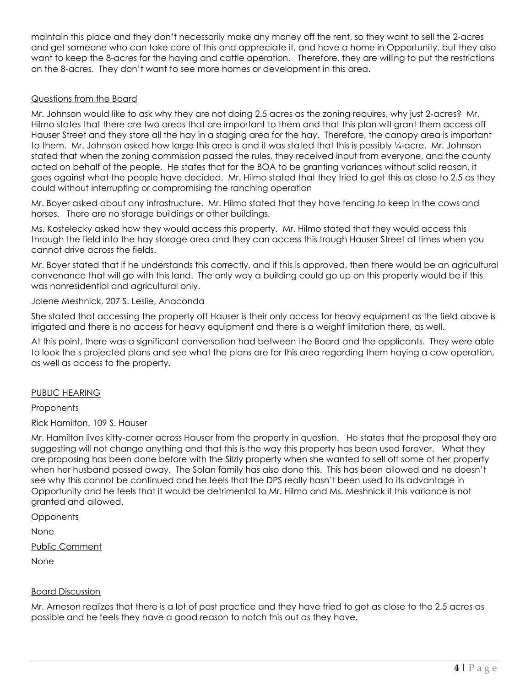maintain this place and they don't necessarily make any money off the rent, so they want to sell the 2-acres and get someone who can take care of this and appreciate it, and have a home in Opportunity, but they also want to keep the 8-acres for the haying and cattle operation. Therefore, they are willing to put the restrictions on the 8-acres. They don't want to see more homes or development in this area.

# Questions from the Board

Mr. Johnson would like to ask why they are not doing 2.5 acres as the zoning requires, why just 2-acres? Mr. Hilmo states that there are two areas that are important to them and that this plan will grant them access off Hauser Street and they store all the hay in a staging area for the hay. Therefore, the canopy area is important to them. Mr. Johnson asked how large this area is and it was stated that this is possibly ¼-acre. Mr. Johnson stated that when the zoning commission passed the rules, they received input from everyone, and the county acted on behalf of the people. He states that for the BOA to be granting variances without solid reason, it goes against what the people have decided. Mr. Hilmo stated that they tried to get this as close to 2.5 as they could without interrupting or compromising the ranching operation

Mr. Boyer asked about any infrastructure. Mr. Hilmo stated that they have fencing to keep in the cows and horses. There are no storage buildings or other buildings.

Ms. Kostelecky asked how they would access this property. Mr. Hilmo stated that they would access this through the field into the hay storage area and they can access this trough Hauser Street at times when you cannot drive across the fields.

Mr. Boyer stated that if he understands this correctly, and if this is approved, then there would be an agricultural convenance that will go with this land. The only way a building could go up on this property would be if this was nonresidential and agricultural only.

#### Jolene Meshnick, 207 S. Leslie, Anaconda

She stated that accessing the property off Hauser is their only access for heavy equipment as the field above is irrigated and there is no access for heavy equipment and there is a weight limitation there, as well.

At this point, there was a significant conversation had between the Board and the applicants. They were able to look the s projected plans and see what the plans are for this area regarding them haying a cow operation, as well as access to the property.

#### PUBLIC HEARING

#### **Proponents**

Rick Hamilton, 109 S. Hauser

Mr. Hamilton lives kitty-corner across Hauser from the property in question. He states that the proposal they are suggesting will not change anything and that this is the way this property has been used forever. What they are proposing has been done before with the Silzly property when she wanted to sell off some of her property when her husband passed away. The Solan family has also done this. This has been allowed and he doesn't see why this cannot be continued and he feels that the DPS really hasn't been used to its advantage in Opportunity and he feels that it would be detrimental to Mr. Hilmo and Ms. Meshnick if this variance is not granted and allowed.

**Opponents** 

None

Public Comment

None

# Board Discussion

Mr. Arneson realizes that there is a lot of past practice and they have tried to get as close to the 2.5 acres as possible and he feels they have a good reason to notch this out as they have.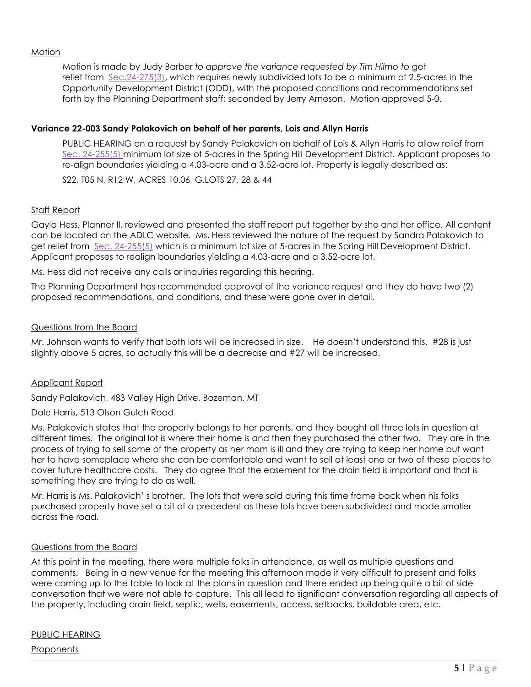#### **Motion**

Motion is made by Judy Barber *to approve the variance requested by Tim Hilmo to* get relief from [Sec.24-275\(3\),](https://library.municode.com/mt/anaconda-deer_lodge_county/codes/code_of_ordinances?nodeId=PTIICOOR_CH24DEPESY_ARTXXIVOPDEDIOD_S24-275DEST) which requires newly subdivided lots to be a minimum of 2.5-acres in the Opportunity Development District (ODD), with the proposed conditions and recommendations set forth by the Planning Department staff; seconded by Jerry Arneson. Motion approved 5-0.

#### **Variance 22-003 Sandy Palakovich on behalf of her parents, Lois and Allyn Harris**

PUBLIC HEARING on a request by Sandy Palakovich on behalf of Lois & Allyn Harris to allow relief from [Sec. 24-255\(](https://library.municode.com/mt/anaconda-deer_lodge_county/codes/code_of_ordinances?nodeId=PTIICOOR_CH24DEPESY_ARTXIXSPHIDEDISH_S24-225DEST)5) minimum lot size of 5-acres in the Spring Hill Development District. Applicant proposes to re-align boundaries yielding a 4.03-acre and a 3.52-acre lot. Property is legally described as:

S22, T05 N, R12 W, ACRES 10.06, G.LOTS 27, 28 & 44

### Staff Report

Gayla Hess, Planner II, reviewed and presented the staff report put together by she and her office. All content can be located on the ADLC website. Ms. Hess reviewed the nature of the request by Sandra Palakovich to get relief from [Sec. 24-255\(](https://library.municode.com/mt/anaconda-deer_lodge_county/codes/code_of_ordinances?nodeId=PTIICOOR_CH24DEPESY_ARTXIXSPHIDEDISH_S24-225DEST)5) which is a minimum lot size of 5-acres in the Spring Hill Development District. Applicant proposes to realign boundaries yielding a 4.03-acre and a 3.52-acre lot.

Ms. Hess did not receive any calls or inquiries regarding this hearing.

The Planning Department has recommended approval of the variance request and they do have two (2) proposed recommendations, and conditions, and these were gone over in detail.

#### Questions from the Board

Mr. Johnson wants to verify that both lots will be increased in size. He doesn't understand this. #28 is just slightly above 5 acres, so actually this will be a decrease and #27 will be increased.

#### Applicant Report

Sandy Palakovich, 483 Valley High Drive, Bozeman, MT

Dale Harris, 513 Olson Gulch Road

Ms. Palakovich states that the property belongs to her parents, and they bought all three lots in question at different times. The original lot is where their home is and then they purchased the other two. They are in the process of trying to sell some of the property as her mom is ill and they are trying to keep her home but want her to have someplace where she can be comfortable and want to sell at least one or two of these pieces to cover future healthcare costs. They do agree that the easement for the drain field is important and that is something they are trying to do as well.

Mr. Harris is Ms. Palakovich' s brother. The lots that were sold during this time frame back when his folks purchased property have set a bit of a precedent as these lots have been subdivided and made smaller across the road.

#### Questions from the Board

At this point in the meeting, there were multiple folks in attendance, as well as multiple questions and comments. Being in a new venue for the meeting this afternoon made it very difficult to present and folks were coming up to the table to look at the plans in question and there ended up being quite a bit of side conversation that we were not able to capture. This all lead to significant conversation regarding all aspects of the property, including drain field, septic, wells, easements, access, setbacks, buildable area, etc.

# PUBLIC HEARING

Proponents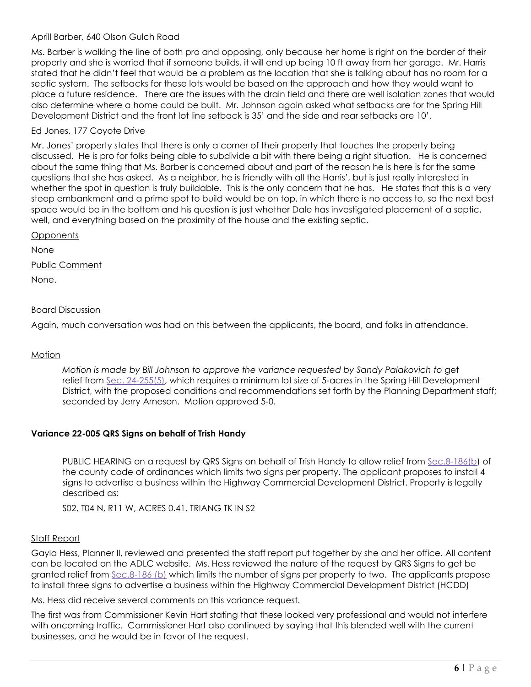# Aprill Barber, 640 Olson Gulch Road

Ms. Barber is walking the line of both pro and opposing, only because her home is right on the border of their property and she is worried that if someone builds, it will end up being 10 ft away from her garage. Mr. Harris stated that he didn't feel that would be a problem as the location that she is talking about has no room for a septic system. The setbacks for these lots would be based on the approach and how they would want to place a future residence. There are the issues with the drain field and there are well isolation zones that would also determine where a home could be built. Mr. Johnson again asked what setbacks are for the Spring Hill Development District and the front lot line setback is 35' and the side and rear setbacks are 10'.

# Ed Jones, 177 Coyote Drive

Mr. Jones' property states that there is only a corner of their property that touches the property being discussed. He is pro for folks being able to subdivide a bit with there being a right situation. He is concerned about the same thing that Ms. Barber is concerned about and part of the reason he is here is for the same questions that she has asked. As a neighbor, he is friendly with all the Harris', but is just really interested in whether the spot in question is truly buildable. This is the only concern that he has. He states that this is a very steep embankment and a prime spot to build would be on top, in which there is no access to, so the next best space would be in the bottom and his question is just whether Dale has investigated placement of a septic, well, and everything based on the proximity of the house and the existing septic.

**Opponents** 

None

Public Comment

None.

# **Board Discussion**

Again, much conversation was had on this between the applicants, the board, and folks in attendance.

#### **Motion**

*Motion is made by Bill Johnson to approve the variance requested by Sandy Palakovich to get* relief from [Sec. 24-255\(](https://library.municode.com/mt/anaconda-deer_lodge_county/codes/code_of_ordinances?nodeId=PTIICOOR_CH24DEPESY_ARTXIXSPHIDEDISH_S24-225DEST)5), which requires a minimum lot size of 5-acres in the Spring Hill Development District, with the proposed conditions and recommendations set forth by the Planning Department staff; seconded by Jerry Arneson. Motion approved 5-0.

# **Variance 22-005 QRS Signs on behalf of Trish Handy**

PUBLIC HEARING on a request by QRS Signs on behalf of Trish Handy to allow relief from [Sec.8-186\(](https://library.municode.com/mt/anaconda-deer_lodge_county/codes/code_of_ordinances?nodeId=PTIICOOR_CH8BULIRE_ARTVISIRE_S8-186SISP)b) of the county code of ordinances which limits two signs per property. The applicant proposes to install 4 signs to advertise a business within the Highway Commercial Development District. Property is legally described as:

S02, T04 N, R11 W, ACRES 0.41, TRIANG TK IN S2

#### Staff Report

Gayla Hess, Planner II, reviewed and presented the staff report put together by she and her office. All content can be located on the ADLC website. Ms. Hess reviewed the nature of the request by QRS Signs to get be granted relief from [Sec.8-186](https://library.municode.com/mt/anaconda-deer_lodge_county/codes/code_of_ordinances?nodeId=PTIICOOR_CH8BULIRE_ARTVISIRE_S8-186SISP) (b) which limits the number of signs per property to two. The applicants propose to install three signs to advertise a business within the Highway Commercial Development District (HCDD)

Ms. Hess did receive several comments on this variance request.

The first was from Commissioner Kevin Hart stating that these looked very professional and would not interfere with oncoming traffic. Commissioner Hart also continued by saying that this blended well with the current businesses, and he would be in favor of the request.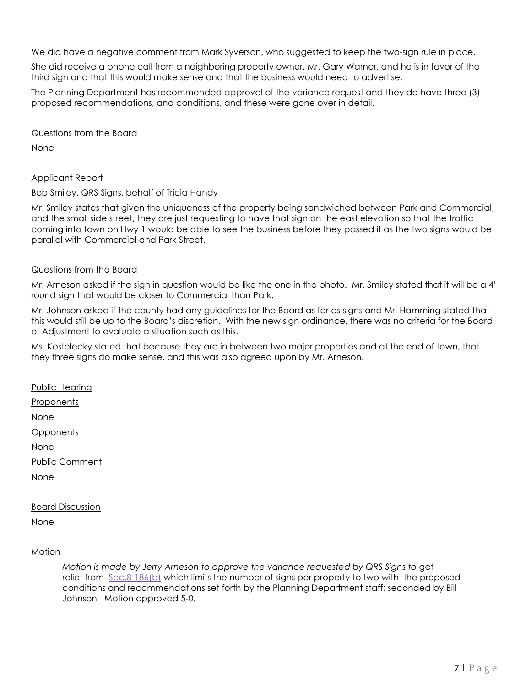We did have a negative comment from Mark Syverson, who suggested to keep the two-sign rule in place.

She did receive a phone call from a neighboring property owner, Mr. Gary Warner, and he is in favor of the third sign and that this would make sense and that the business would need to advertise.

The Planning Department has recommended approval of the variance request and they do have three (3) proposed recommendations, and conditions, and these were gone over in detail.

Questions from the Board

None

#### Applicant Report

Bob Smiley, QRS Signs, behalf of Tricia Handy

Mr. Smiley states that given the uniqueness of the property being sandwiched between Park and Commercial, and the small side street, they are just requesting to have that sign on the east elevation so that the traffic coming into town on Hwy 1 would be able to see the business before they passed it as the two signs would be parallel with Commercial and Park Street.

# Questions from the Board

Mr. Arneson asked if the sign in question would be like the one in the photo. Mr. Smiley stated that it will be a 4' round sign that would be closer to Commercial than Park.

Mr. Johnson asked if the county had any guidelines for the Board as far as signs and Mr. Hamming stated that this would still be up to the Board's discretion. With the new sign ordinance, there was no criteria for the Board of Adjustment to evaluate a situation such as this.

Ms. Kostelecky stated that because they are in between two major properties and at the end of town, that they three signs do make sense, and this was also agreed upon by Mr. Arneson.

Public Hearing

**Proponents** 

None

**Opponents** 

None

Public Comment

None

#### Board Discussion

None

#### Motion

*Motion is made by Jerry Arneson to approve the variance requested by QRS Signs to* get relief from [Sec.8-186\(](https://library.municode.com/mt/anaconda-deer_lodge_county/codes/code_of_ordinances?nodeId=PTIICOOR_CH8BULIRE_ARTVISIRE_S8-186SISP)b) which limits the number of signs per property to two with the proposed conditions and recommendations set forth by the Planning Department staff; seconded by Bill Johnson Motion approved 5-0.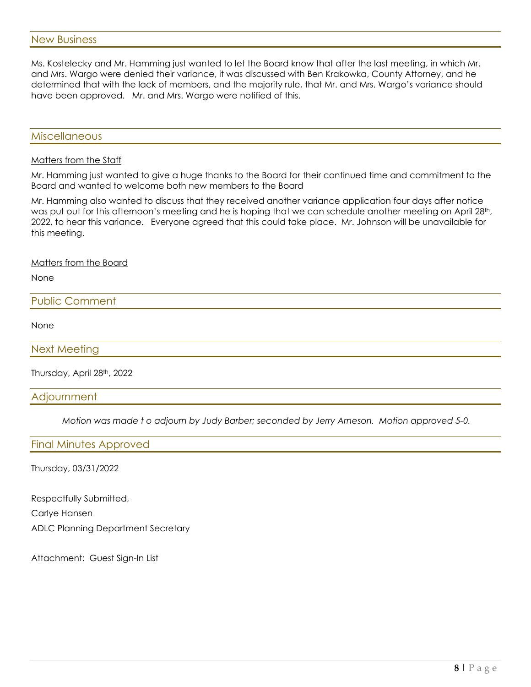Ms. Kostelecky and Mr. Hamming just wanted to let the Board know that after the last meeting, in which Mr. and Mrs. Wargo were denied their variance, it was discussed with Ben Krakowka, County Attorney, and he determined that with the lack of members, and the majority rule, that Mr. and Mrs. Wargo's variance should have been approved. Mr. and Mrs. Wargo were notified of this.

# Miscellaneous

#### Matters from the Staff

Mr. Hamming just wanted to give a huge thanks to the Board for their continued time and commitment to the Board and wanted to welcome both new members to the Board

Mr. Hamming also wanted to discuss that they received another variance application four days after notice was put out for this afternoon's meeting and he is hoping that we can schedule another meeting on April 28th, 2022, to hear this variance. Everyone agreed that this could take place. Mr. Johnson will be unavailable for this meeting.

#### Matters from the Board

None

# Public Comment

None

#### Next Meeting

Thursday, April 28th, 2022

#### **Adjournment**

*Motion was made t o adjourn by Judy Barber; seconded by Jerry Arneson. Motion approved 5-0.* 

#### Final Minutes Approved

Thursday, 03/31/2022

Respectfully Submitted, Carlye Hansen ADLC Planning Department Secretary

Attachment: Guest Sign-In List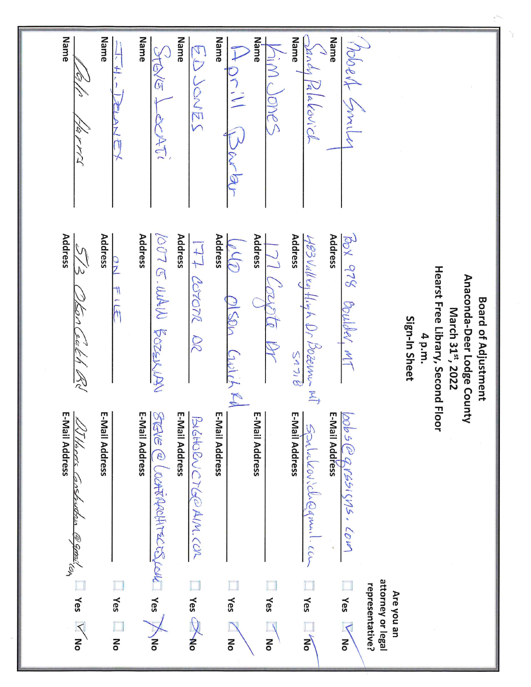